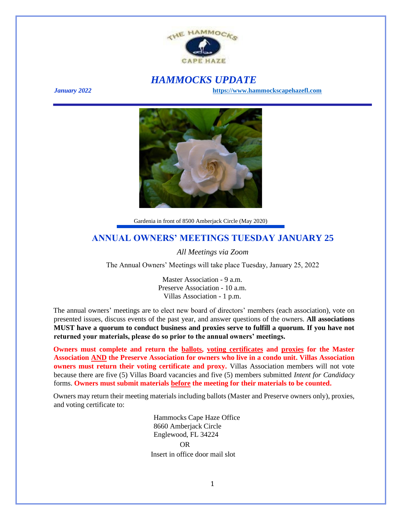

# *HAMMOCKS UPDATE*

*January 2022* **[https://www.hammockscapehazefl.com](https://www.hammockscapehazefl.com/)**



Gardenia in front of 8500 Amberjack Circle (May 2020)

### **ANNUAL OWNERS' MEETINGS TUESDAY JANUARY 25**

*All Meetings via Zoom*

The Annual Owners' Meetings will take place Tuesday, January 25, 2022

Master Association - 9 a.m. Preserve Association - 10 a.m. Villas Association - 1 p.m.

The annual owners' meetings are to elect new board of directors' members (each association), vote on presented issues, discuss events of the past year, and answer questions of the owners. **All associations MUST have a quorum to conduct business and proxies serve to fulfill a quorum. If you have not returned your materials, please do so prior to the annual owners' meetings.**

**Owners must complete and return the ballots, voting certificates and proxies for the Master Association AND the Preserve Association for owners who live in a condo unit. Villas Association owners must return their voting certificate and proxy.** Villas Association members will not vote because there are five (5) Villas Board vacancies and five (5) members submitted *Intent for Candidacy* forms. **Owners must submit materials before the meeting for their materials to be counted.**

Owners may return their meeting materials including ballots (Master and Preserve owners only), proxies, and voting certificate to:

> Hammocks Cape Haze Office 8660 Amberjack Circle Englewood, FL 34224 OR Insert in office door mail slot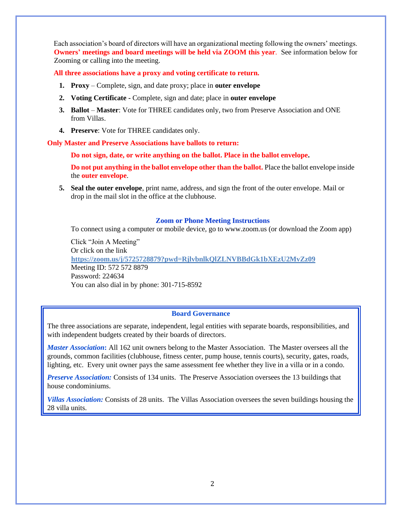Each association's board of directors will have an organizational meeting following the owners' meetings. **Owners' meetings and board meetings will be held via ZOOM this year**. See information below for Zooming or calling into the meeting.

**All three associations have a proxy and voting certificate to return.**

- **1. Proxy** Complete, sign, and date proxy; place in **outer envelope**
- **2. Voting Certificate -** Complete, sign and date; place in **outer envelope**
- **3. Ballot Master**: Vote for THREE candidates only, two from Preserve Association and ONE from Villas.
- **4. Preserve**: Vote for THREE candidates only.

**Only Master and Preserve Associations have ballots to return:**

**Do not sign, date, or write anything on the ballot. Place in the ballot envelope.** 

**Do not put anything in the ballot envelope other than the ballot.** Place the ballot envelope inside the **outer envelope**.

**5. Seal the outer envelope**, print name, address, and sign the front of the outer envelope. Mail or drop in the mail slot in the office at the clubhouse.

#### **Zoom or Phone Meeting Instructions**

To connect using a computer or mobile device, go to www.zoom.us (or download the Zoom app)

Click "Join A Meeting" Or click on the link **<https://zoom.us/j/5725728879?pwd=RjlvbnlkQlZLNVBBdGk1bXEzU2MvZz09>** Meeting ID: 572 572 8879 Password: 224634 You can also dial in by phone: 301-715-8592

#### **Board Governance**

The three associations are separate, independent, legal entities with separate boards, responsibilities, and with independent budgets created by their boards of directors.

*Master Association***:** All 162 unit owners belong to the Master Association. The Master oversees all the grounds, common facilities (clubhouse, fitness center, pump house, tennis courts), security, gates, roads, lighting, etc. Every unit owner pays the same assessment fee whether they live in a villa or in a condo.

*Preserve Association:* Consists of 134 units. The Preserve Association oversees the 13 buildings that house condominiums.

*Villas Association:* Consists of 28 units. The Villas Association oversees the seven buildings housing the 28 villa units.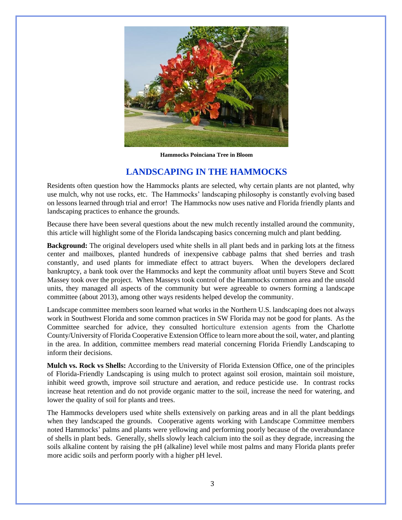

**Hammocks Poinciana Tree in Bloom**

## **LANDSCAPING IN THE HAMMOCKS**

Residents often question how the Hammocks plants are selected, why certain plants are not planted, why use mulch, why not use rocks, etc. The Hammocks' landscaping philosophy is constantly evolving based on lessons learned through trial and error! The Hammocks now uses native and Florida friendly plants and landscaping practices to enhance the grounds.

Because there have been several questions about the new mulch recently installed around the community, this article will highlight some of the Florida landscaping basics concerning mulch and plant bedding.

**Background:** The original developers used white shells in all plant beds and in parking lots at the fitness center and mailboxes, planted hundreds of inexpensive cabbage palms that shed berries and trash constantly, and used plants for immediate effect to attract buyers. When the developers declared bankruptcy, a bank took over the Hammocks and kept the community afloat until buyers Steve and Scott Massey took over the project. When Masseys took control of the Hammocks common area and the unsold units, they managed all aspects of the community but were agreeable to owners forming a landscape committee (about 2013), among other ways residents helped develop the community.

Landscape committee members soon learned what works in the Northern U.S. landscaping does not always work in Southwest Florida and some common practices in SW Florida may not be good for plants. As the Committee searched for advice, they consulted horticulture extension agents from the Charlotte County/University of Florida Cooperative Extension Office to learn more about the soil, water, and planting in the area. In addition, committee members read material concerning Florida Friendly Landscaping to inform their decisions.

**Mulch vs. Rock vs Shells:** According to the University of Florida Extension Office, one of the principles of Florida-Friendly Landscaping is using mulch to protect against soil erosion, maintain soil moisture, inhibit weed growth, improve soil structure and aeration, and reduce pesticide use. In contrast rocks increase heat retention and do not provide organic matter to the soil, increase the need for watering, and lower the quality of soil for plants and trees.

The Hammocks developers used white shells extensively on parking areas and in all the plant beddings when they landscaped the grounds. Cooperative agents working with Landscape Committee members noted Hammocks' palms and plants were yellowing and performing poorly because of the overabundance of shells in plant beds. Generally, shells slowly leach calcium into the soil as they degrade, increasing the soils alkaline content by raising the pH (alkaline) level while most palms and many Florida plants prefer more acidic soils and perform poorly with a higher pH level.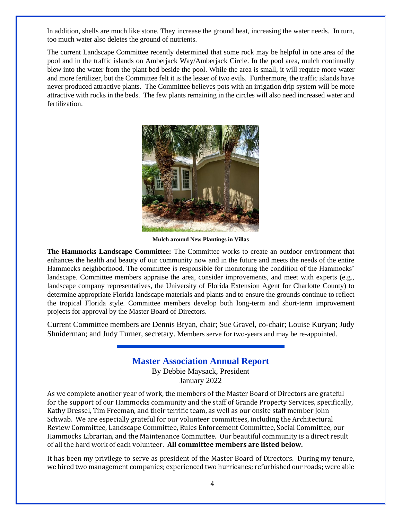In addition, shells are much like stone. They increase the ground heat, increasing the water needs. In turn, too much water also deletes the ground of nutrients.

The current Landscape Committee recently determined that some rock may be helpful in one area of the pool and in the traffic islands on Amberjack Way/Amberjack Circle. In the pool area, mulch continually blew into the water from the plant bed beside the pool. While the area is small, it will require more water and more fertilizer, but the Committee felt it is the lesser of two evils. Furthermore, the traffic islands have never produced attractive plants. The Committee believes pots with an irrigation drip system will be more attractive with rocks in the beds. The few plants remaining in the circles will also need increased water and fertilization.



**Mulch around New Plantings in Villas**

**The Hammocks Landscape Committee:** The Committee works to create an outdoor environment that enhances the health and beauty of our community now and in the future and meets the needs of the entire Hammocks neighborhood. The committee is responsible for monitoring the condition of the Hammocks' landscape. Committee members appraise the area, consider improvements, and meet with experts (e.g., landscape company representatives, the University of Florida Extension Agent for Charlotte County) to determine appropriate Florida landscape materials and plants and to ensure the grounds continue to reflect the tropical Florida style. Committee members develop both long-term and short-term improvement projects for approval by the Master Board of Directors.

Current Committee members are Dennis Bryan, chair; Sue Gravel, co-chair; Louise Kuryan; Judy Shniderman; and Judy Turner, secretary. Members serve for two-years and may be re-appointed.

### **Master Association Annual Report**

By Debbie Maysack, President January 2022

As we complete another year of work, the members of the Master Board of Directors are grateful for the support of our Hammocks community and the staff of Grande Property Services, specifically, Kathy Dressel, Tim Freeman, and their terrific team, as well as our onsite staff member John Schwab. We are especially grateful for our volunteer committees, including the Architectural Review Committee, Landscape Committee, Rules Enforcement Committee, Social Committee, our Hammocks Librarian, and the Maintenance Committee. Our beautiful community is a direct result of all the hard work of each volunteer. **All committee members are listed below.**

It has been my privilege to serve as president of the Master Board of Directors. During my tenure, we hired two management companies; experienced two hurricanes; refurbished our roads; were able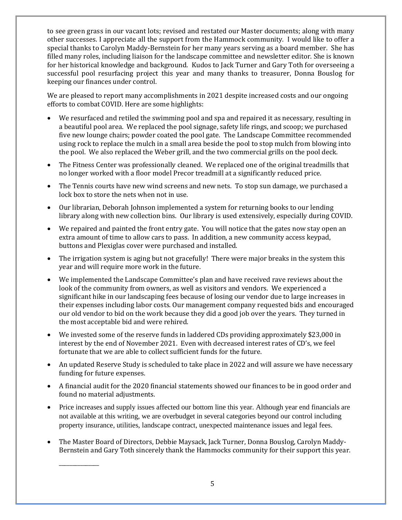to see green grass in our vacant lots; revised and restated our Master documents; along with many other successes. I appreciate all the support from the Hammock community. I would like to offer a special thanks to Carolyn Maddy-Bernstein for her many years serving as a board member. She has filled many roles, including liaison for the landscape committee and newsletter editor. She is known for her historical knowledge and background. Kudos to Jack Turner and Gary Toth for overseeing a successful pool resurfacing project this year and many thanks to treasurer, Donna Bouslog for keeping our finances under control.

We are pleased to report many accomplishments in 2021 despite increased costs and our ongoing efforts to combat COVID. Here are some highlights:

- We resurfaced and retiled the swimming pool and spa and repaired it as necessary, resulting in a beautiful pool area. We replaced the pool signage, safety life rings, and scoop; we purchased five new lounge chairs; powder coated the pool gate. The Landscape Committee recommended using rock to replace the mulch in a small area beside the pool to stop mulch from blowing into the pool. We also replaced the Weber grill, and the two commercial grills on the pool deck.
- The Fitness Center was professionally cleaned. We replaced one of the original treadmills that no longer worked with a floor model Precor treadmill at a significantly reduced price.
- The Tennis courts have new wind screens and new nets. To stop sun damage, we purchased a lock box to store the nets when not in use.
- Our librarian, Deborah Johnson implemented a system for returning books to our lending library along with new collection bins. Our library is used extensively, especially during COVID.
- We repaired and painted the front entry gate. You will notice that the gates now stay open an extra amount of time to allow cars to pass. In addition, a new community access keypad, buttons and Plexiglas cover were purchased and installed.
- The irrigation system is aging but not gracefully! There were major breaks in the system this year and will require more work in the future.
- We implemented the Landscape Committee's plan and have received rave reviews about the look of the community from owners, as well as visitors and vendors. We experienced a significant hike in our landscaping fees because of losing our vendor due to large increases in their expenses including labor costs. Our management company requested bids and encouraged our old vendor to bid on the work because they did a good job over the years. They turned in the most acceptable bid and were rehired.
- We invested some of the reserve funds in laddered CDs providing approximately \$23,000 in interest by the end of November 2021. Even with decreased interest rates of CD's, we feel fortunate that we are able to collect sufficient funds for the future.
- An updated Reserve Study is scheduled to take place in 2022 and will assure we have necessary funding for future expenses.
- A financial audit for the 2020 financial statements showed our finances to be in good order and found no material adjustments.
- Price increases and supply issues affected our bottom line this year. Although year end financials are not available at this writing, we are overbudget in several categories beyond our control including property insurance, utilities, landscape contract, unexpected maintenance issues and legal fees.
- The Master Board of Directors, Debbie Maysack, Jack Turner, Donna Bouslog, Carolyn Maddy-Bernstein and Gary Toth sincerely thank the Hammocks community for their support this year.

\_\_\_\_\_\_\_\_\_\_\_\_\_\_\_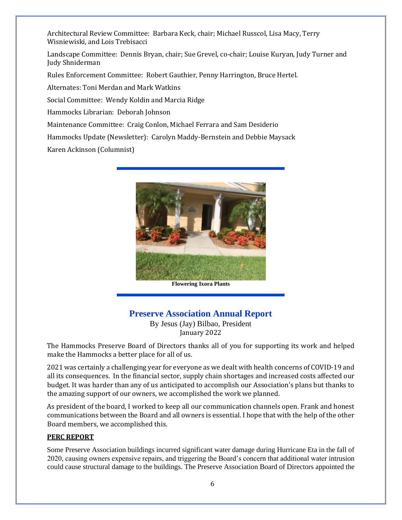Architectural Review Committee: Barbara Keck, chair; Michael Russcol, Lisa Macy, Terry Wisniewiski, and Lois Trebisacci

Landscape Committee: Dennis Bryan, chair; Sue Grevel, co-chair; Louise Kuryan, Judy Turner and Judy Shniderman

Rules Enforcement Committee: Robert Gauthier, Penny Harrington, Bruce Hertel.

Alternates: Toni Merdan and Mark Watkins

Social Committee: Wendy Koldin and Marcia Ridge

Hammocks Librarian: Deborah Johnson

Maintenance Committee: Craig Conlon, Michael Ferrara and Sam Desiderio

Hammocks Update (Newsletter): Carolyn Maddy-Bernstein and Debbie Maysack

Karen Ackinson (Columnist)



**Flowering Ixora Plants**

# **Preserve Association Annual Report**

By Jesus (Jay) Bilbao, President January 2022

The Hammocks Preserve Board of Directors thanks all of you for supporting its work and helped make the Hammocks a better place for all of us.

2021 was certainly a challenging year for everyone as we dealt with health concerns of COVID-19 and all its consequences. In the financial sector, supply chain shortages and increased costs affected our budget. It was harder than any of us anticipated to accomplish our Association's plans but thanks to the amazing support of our owners, we accomplished the work we planned.

As president of the board, I worked to keep all our communication channels open. Frank and honest communications between the Board and all owners is essential. I hope that with the help of the other Board members, we accomplished this.

#### **PERC REPORT**

Some Preserve Association buildings incurred significant water damage during Hurricane Eta in the fall of 2020, causing owners expensive repairs, and triggering the Board's concern that additional water intrusion could cause structural damage to the buildings. The Preserve Association Board of Directors appointed the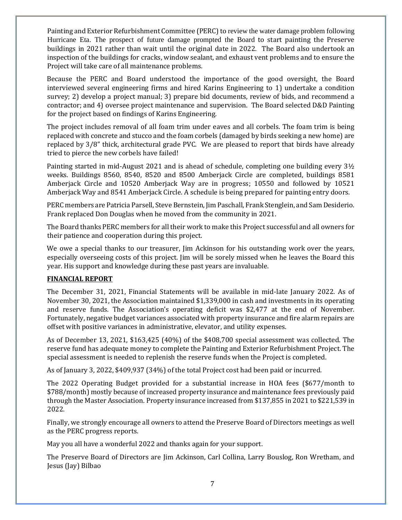Painting and Exterior Refurbishment Committee (PERC) to review the water damage problem following Hurricane Eta. The prospect of future damage prompted the Board to start painting the Preserve buildings in 2021 rather than wait until the original date in 2022. The Board also undertook an inspection of the buildings for cracks, window sealant, and exhaust vent problems and to ensure the Project will take care of all maintenance problems.

Because the PERC and Board understood the importance of the good oversight, the Board interviewed several engineering firms and hired Karins Engineering to 1) undertake a condition survey; 2) develop a project manual; 3) prepare bid documents, review of bids, and recommend a contractor; and 4) oversee project maintenance and supervision. The Board selected D&D Painting for the project based on findings of Karins Engineering.

The project includes removal of all foam trim under eaves and all corbels. The foam trim is being replaced with concrete and stucco and the foam corbels (damaged by birds seeking a new home) are replaced by 3/8" thick, architectural grade PVC. We are pleased to report that birds have already tried to pierce the new corbels have failed!

Painting started in mid-August 2021 and is ahead of schedule, completing one building every 3½ weeks. Buildings 8560, 8540, 8520 and 8500 Amberjack Circle are completed, buildings 8581 Amberjack Circle and 10520 Amberjack Way are in progress; 10550 and followed by 10521 Amberjack Way and 8541 Amberjack Circle. A schedule is being prepared for painting entry doors.

PERC members are Patricia Parsell, Steve Bernstein, Jim Paschall, Frank Stenglein, and Sam Desiderio. Frank replaced Don Douglas when he moved from the community in 2021.

The Board thanks PERC members for all their work to make this Project successful and all owners for their patience and cooperation during this project.

We owe a special thanks to our treasurer, Jim Ackinson for his outstanding work over the years, especially overseeing costs of this project. Jim will be sorely missed when he leaves the Board this year. His support and knowledge during these past years are invaluable.

### **FINANCIAL REPORT**

The December 31, 2021, Financial Statements will be available in mid-late January 2022. As of November 30, 2021, the Association maintained \$1,339,000 in cash and investments in its operating and reserve funds. The Association's operating deficit was \$2,477 at the end of November. Fortunately, negative budget variances associated with property insurance and fire alarm repairs are offset with positive variances in administrative, elevator, and utility expenses.

As of December 13, 2021, \$163,425 (40%) of the \$408,700 special assessment was collected. The reserve fund has adequate money to complete the Painting and Exterior Refurbishment Project. The special assessment is needed to replenish the reserve funds when the Project is completed.

As of January 3, 2022, \$409,937 (34%) of the total Project cost had been paid or incurred.

The 2022 Operating Budget provided for a substantial increase in HOA fees (\$677/month to \$788/month) mostly because of increased property insurance and maintenance fees previously paid through the Master Association. Property insurance increased from \$137,855 in 2021 to \$221,539 in 2022.

Finally, we strongly encourage all owners to attend the Preserve Board of Directors meetings as well as the PERC progress reports.

May you all have a wonderful 2022 and thanks again for your support.

The Preserve Board of Directors are Jim Ackinson, Carl Collina, Larry Bouslog, Ron Wretham, and Jesus (Jay) Bilbao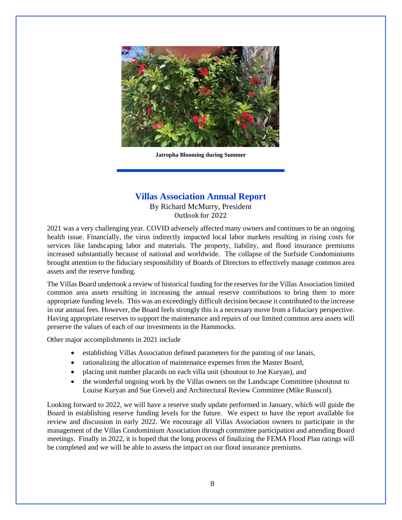

**Jatropha Blooming during Summer**

# **Villas Association Annual Report**

By Richard McMurry, President Outlook for 2022

2021 was a very challenging year. COVID adversely affected many owners and continues to be an ongoing health issue. Financially, the virus indirectly impacted local labor markets resulting in rising costs for services like landscaping labor and materials. The property, liability, and flood insurance premiums increased substantially because of national and worldwide. The collapse of the Surfside Condominiums brought attention to the fiduciary responsibility of Boards of Directors to effectively manage common area assets and the reserve funding.

The Villas Board undertook a review of historical funding for the reserves for the Villas Association limited common area assets resulting in increasing the annual reserve contributions to bring them to more appropriate funding levels. This was an exceedingly difficult decision because it contributed to the increase in our annual fees. However, the Board feels strongly this is a necessary move from a fiduciary perspective. Having appropriate reserves to support the maintenance and repairs of our limited common area assets will preserve the values of each of our investments in the Hammocks.

Other major accomplishments in 2021 include

- establishing Villas Association defined parameters for the painting of our lanais,
- rationalizing the allocation of maintenance expenses from the Master Board,
- placing unit number placards on each villa unit (shoutout to Joe Kuryan), and
- the wonderful ongoing work by the Villas owners on the Landscape Committee (shoutout to Louise Kuryan and Sue Grevel) and Architectural Review Committee (Mike Russcol).

Looking forward to 2022, we will have a reserve study update performed in January, which will guide the Board in establishing reserve funding levels for the future. We expect to have the report available for review and discussion in early 2022. We encourage all Villas Association owners to participate in the management of the Villas Condominium Association through committee participation and attending Board meetings. Finally in 2022, it is hoped that the long process of finalizing the FEMA Flood Plan ratings will be completed and we will be able to assess the impact on our flood insurance premiums.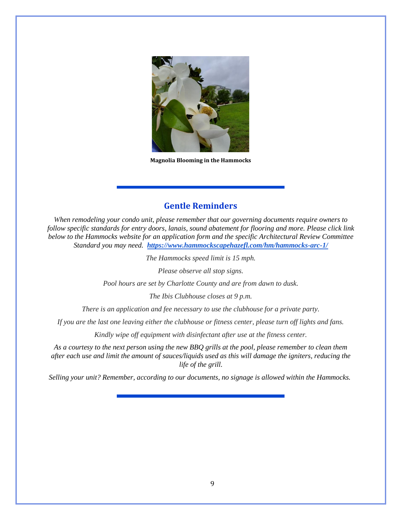

**Magnolia Blooming in the Hammocks**

## **Gentle Reminders**

*When remodeling your condo unit, please remember that our governing documents require owners to follow specific standards for entry doors, lanais, sound abatement for flooring and more. Please click link below to the Hammocks website for an application form and the specific Architectural Review Committee Standard you may need. <https://www.hammockscapehazefl.com/hm/hammocks-arc-1/>*

*The Hammocks speed limit is 15 mph.*

*Please observe all stop signs.*

*Pool hours are set by Charlotte County and are from dawn to dusk.*

*The Ibis Clubhouse closes at 9 p.m.* 

*There is an application and fee necessary to use the clubhouse for a private party.*

*If you are the last one leaving either the clubhouse or fitness center, please turn off lights and fans.*

*Kindly wipe off equipment with disinfectant after use at the fitness center.*

*As a courtesy to the next person using the new BBQ grills at the pool, please remember to clean them after each use and limit the amount of sauces/liquids used as this will damage the igniters, reducing the life of the grill.*

*Selling your unit? Remember, according to our documents, no signage is allowed within the Hammocks.*